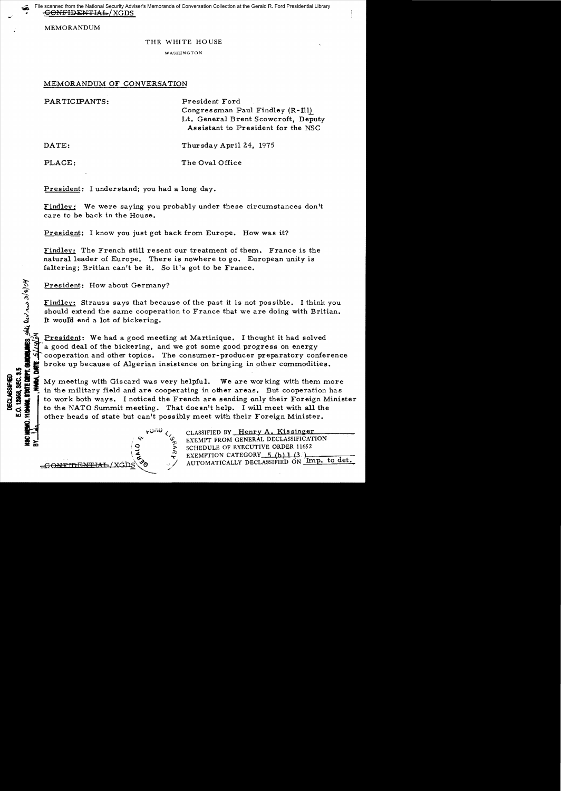MEMORANDUM

## THE WHITE HOUSE

WASHINGTON

## MEMORANDUM OF CONVERSATION

| PARTICIPANTS: | President Ford<br>Congressman Paul Findley (R-Ill)<br>Lt. General Brent Scowcroft, Deputy<br>Assistant to President for the NSC |
|---------------|---------------------------------------------------------------------------------------------------------------------------------|
| DATE:         | Thursday April 24, 1975                                                                                                         |
| PLACE:        | The Oval Office                                                                                                                 |

President: I understand; you had a long day.

Findley: We were saying you probably under these circumstances don't care to be back in the House.

President; I know you just got back from Europe. How was it?

Findley: The French still resent our treatment of them. France is the natural leader of Europe. There is nowhere to go. European unity is faltering; Britian can't be it. So it's got to be France.

President: How about Germany?

Findley: Strauss says that because of the past it is not possible. I think you should extend the same cooperation to France that we are doing with Britian. It would end a lot of bickering.

President: We had a good meeting at Martinique. I thought it had solved<br>a good deal of the bickering, and we got some good progress on energy a good deal of the bickering, and we got some good progress on energy<br>
cooperation and other topics. The consumer-producer preparatory conference<br>  $\mathbf{E}$  broke up because of Algerian insistence on bringing in other commo <sup>1</sup> cooperation and other topics. The consumer-producer preparatory comersed.<br> **2** broke up because of Algerian insistence on bringing in other commodities.

**EFRICHER IS INTERNATION IN THE MY METHANIST CONSULTER AND MY METHANIST CONSULTER AND MY METHANIST CONSULTER AN<br>
SUBSIDIAL TO NOTE AND SUMMIT METHANIST CONSULTER AND SUMMIT TO SUMMIT MORE IN THE MATTO SUMMIT MEETING. That** in the military field and are cooperating in other areas. But cooperation has to work both ways. I noticed the French are sending only their Foreign Minister to the NATO Summit meeting. That doesn't help. I will meet with all the other heads of state but can't possibly meet with their Foreign Minister.

> CLASSIFIED BY Henry A. Kissinger EXEMPT FROM GENERAL DECLASSIFICATION SCHEDULE OF EXECUTIVE ORDER 11652<br>EXEMPTION CATEGORY 5 (b) 1 (3,)  $A$ <sup>2</sup> AUTOMATICALLY DECLASSIFIED ON  $\overline{Imp.}$  to det.

::l-  $\sim$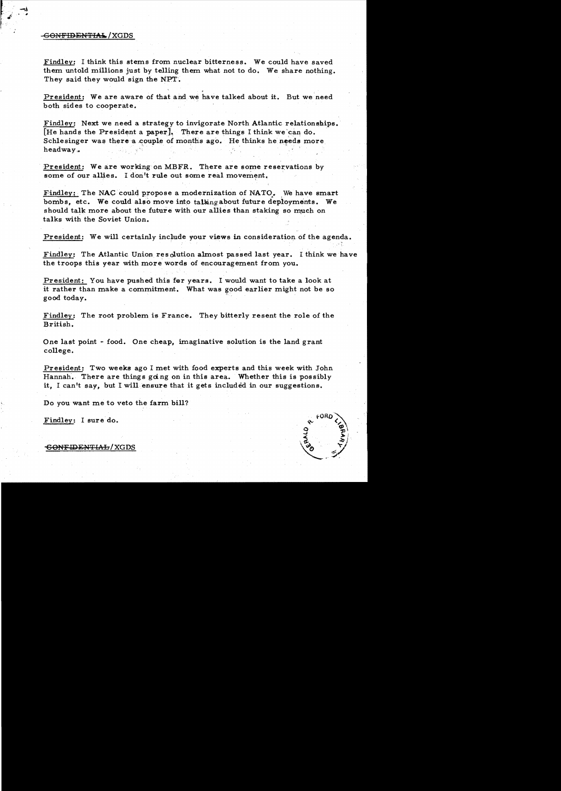## GONFIDENTIAL / XGDS

Findley: I think this stems from nuclear bitterness. We could have saved them untold millions just by telling them what not to do. We share nothing. They said they would sign the NPT.

President: We are aware of that and we have talked about it. But we need both sides to cooperate.

Findley: Next we need a strategy to invigorate North Atlantic relationships. [He hands the President a paper]. There are things I think we can do. Schlesinger was there a couple of months ago. He thinks he needs more headway.

President: We are working on MBFR. There are some reservations by some of our allies. I don't rule out some real movement.

Findley: The NAC could propose a modernization of NATO. We have smart bombs, etc. We could also move into talkingabout future deployments. We should talk more about the future with our allies than staking so much on talks with the Soviet Union.

President: We will certainly include your views in consideration of the agenda.

Findley: The Atlantic Union resolution almost passed last year. I think we have the troops this year with more words of encouragement from you.

President: You have pushed this fer years. I would want to take a look at it rather than make a commitment. What was good earlier might not be so good today.

Findley: The root problem is France. They bitterly resent the role of the British.

One last point - food. One cheap, imaginative solution is the land grant college.

President: Two weeks ago I met with food experts and this week with John Hannah. There are things going on in this area. Whether this is possibly it, I can't say, but I will ensure that it gets included in our suggestions.

Do you want me to veto the farm bill?

Findley: I sure do.

GONFIDENTIAL/XGDS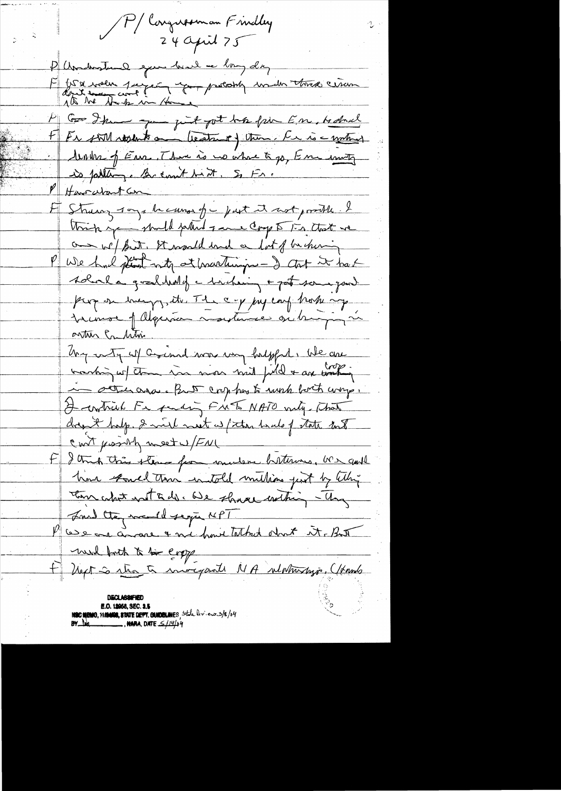P/Congressman Findley  $24$  april  $25$ P Understand goes heard a long day F for well payer you probly with these circum P Go I know you just jut but from E.M. Holmel F Fi still rosents and theatrust of them. In is a water : Arobre of Euro, There is no what to po, Emminutes is falling. Because hint, S. Fr. Haveatantan Strucy 10gs heaves for just it not prote & think you should pland your Coop to that we and we fourt. It would und a lot of bushing PUDe had plant into at brantings - I chat it has soluta graldwolf a bichering + pot some pour pag on hung, its, The c-y juy can how may tremos of alguna montance ou burguna artur Crahtin hay unty up ascound more way hadgeful. We can traching w/ the river mil fill & are working in other are a But crop has to wish both ways. I contrib Fe paraing Fints NATO mity. That chant help. I wish meet as fitter had of state that can't possibly meet up FNL F & thick this stems for mulen bittering, U.S. and home gomed them instold unitations just by this These what watteds. We shave within - Ung June the med segue NPT P avec a avance & ne house tatted about it. But wend both to be easy Next is the to invergent NA whetherlyse, (Hambs E.O. 12958, SEC. 3.5 HEC MEMO, 11/1000, STATE DEPT. GUIDELINES, State lev.ew.3/8/04 **MARA, DATE** *S/14/b4* BY DA